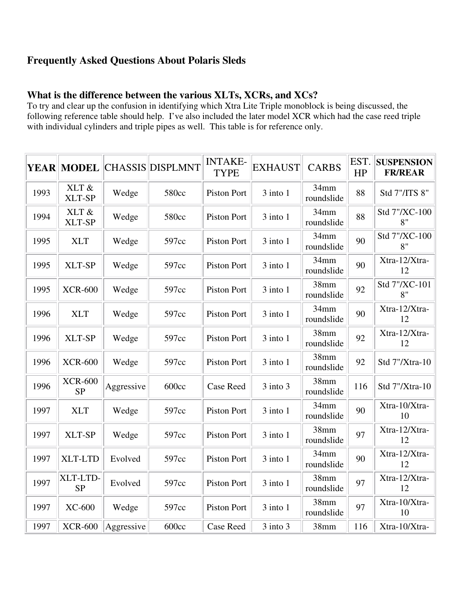# **Frequently Asked Questions About Polaris Sleds**

# **What is the difference between the various XLTs, XCRs, and XCs?**

To try and clear up the confusion in identifying which Xtra Lite Triple monoblock is being discussed, the following reference table should help. I've also included the later model XCR which had the case reed triple with individual cylinders and triple pipes as well. This table is for reference only.

|      | <b>YEAR MODEL</b>           |            | <b>CHASSIS DISPLMNT</b> | <b>INTAKE-</b><br><b>TYPE</b> | <b>EXHAUST</b> | <b>CARBS</b>                   | EST.<br>HP | <b>SUSPENSION</b><br><b>FR/REAR</b> |
|------|-----------------------------|------------|-------------------------|-------------------------------|----------------|--------------------------------|------------|-------------------------------------|
| 1993 | XLT &<br>XLT-SP             | Wedge      | 580cc                   | <b>Piston Port</b>            | $3$ into $1$   | 34mm<br>roundslide             | 88         | Std 7"/ITS 8"                       |
| 1994 | XLT &<br>XLT-SP             | Wedge      | 580cc                   | Piston Port                   | 3 into 1       | 34mm<br>roundslide             | 88         | Std 7"/XC-100<br>8"                 |
| 1995 | <b>XLT</b>                  | Wedge      | 597cc                   | Piston Port                   | $3$ into $1$   | 34mm<br>roundslide             | 90         | Std 7"/XC-100<br>8"                 |
| 1995 | XLT-SP                      | Wedge      | 597cc                   | <b>Piston Port</b>            | $3$ into $1$   | 34mm<br>roundslide             | 90         | Xtra-12/Xtra-<br>12                 |
| 1995 | <b>XCR-600</b>              | Wedge      | 597cc                   | <b>Piston Port</b>            | $3$ into $1$   | 38mm<br>roundslide             | 92         | Std 7"/XC-101<br>8"                 |
| 1996 | <b>XLT</b>                  | Wedge      | 597cc                   | <b>Piston Port</b>            | $3$ into $1$   | 34mm<br>roundslide             | 90         | Xtra-12/Xtra-<br>12                 |
| 1996 | XLT-SP                      | Wedge      | 597cc                   | Piston Port                   | $3$ into $1$   | 38mm<br>roundslide             | 92         | Xtra-12/Xtra-<br>12                 |
| 1996 | <b>XCR-600</b>              | Wedge      | 597cc                   | <b>Piston Port</b>            | $3$ into $1$   | 38mm<br>roundslide             | 92         | Std 7"/Xtra-10                      |
| 1996 | <b>XCR-600</b><br><b>SP</b> | Aggressive | 600cc                   | <b>Case Reed</b>              | 3 into 3       | 38mm<br>roundslide             | 116        | Std 7"/Xtra-10                      |
| 1997 | <b>XLT</b>                  | Wedge      | 597cc                   | Piston Port                   | $3$ into $1$   | 34mm<br>roundslide             | 90         | Xtra-10/Xtra-<br>10                 |
| 1997 | XLT-SP                      | Wedge      | 597cc                   | Piston Port                   | $3$ into $1$   | 38mm<br>roundslide             | 97         | Xtra-12/Xtra-<br>12                 |
| 1997 | <b>XLT-LTD</b>              | Evolved    | 597cc                   | <b>Piston Port</b>            | $3$ into $1$   | 34mm<br>roundslide             | 90         | Xtra-12/Xtra-<br>12                 |
| 1997 | XLT-LTD-<br><b>SP</b>       | Evolved    | 597cc                   | <b>Piston Port</b>            | $3$ into $1$   | 38 <sub>mm</sub><br>roundslide | 97         | Xtra-12/Xtra-<br>12                 |
| 1997 | <b>XC-600</b>               | Wedge      | 597cc                   | Piston Port                   | $3$ into $1$   | 38mm<br>roundslide             | 97         | Xtra-10/Xtra-<br>10                 |
| 1997 | <b>XCR-600</b>              | Aggressive | 600cc                   | Case Reed                     | 3 into 3       | 38mm                           | 116        | Xtra-10/Xtra-                       |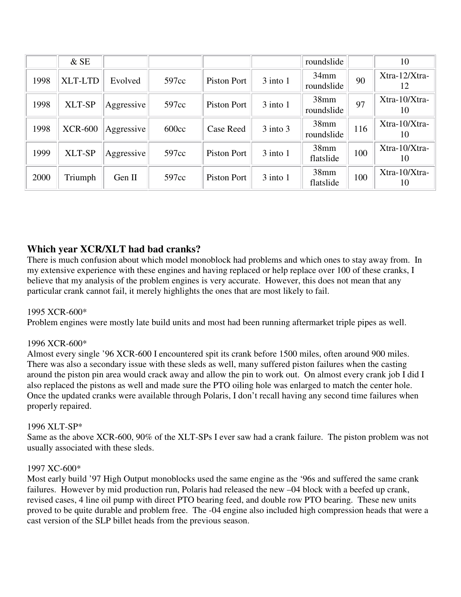|      | $&$ SE         |            |       |             |              | roundslide            |     | 10                  |
|------|----------------|------------|-------|-------------|--------------|-----------------------|-----|---------------------|
| 1998 | <b>XLT-LTD</b> | Evolved    | 597cc | Piston Port | $3$ into $1$ | $34$ mm<br>roundslide | 90  | Xtra-12/Xtra-<br>12 |
| 1998 | XLT-SP         | Aggressive | 597cc | Piston Port | $3$ into $1$ | 38mm<br>roundslide    | 97  | Xtra-10/Xtra-<br>10 |
| 1998 | <b>XCR-600</b> | Aggressive | 600cc | Case Reed   | $3$ into $3$ | 38mm<br>roundslide    | 116 | Xtra-10/Xtra-<br>10 |
| 1999 | XLT-SP         | Aggressive | 597cc | Piston Port | $3$ into $1$ | 38mm<br>flatslide     | 100 | Xtra-10/Xtra-<br>10 |
| 2000 | Triumph        | Gen II     | 597cc | Piston Port | $3$ into $1$ | 38mm<br>flatslide     | 100 | Xtra-10/Xtra-<br>10 |

# **Which year XCR/XLT had bad cranks?**

There is much confusion about which model monoblock had problems and which ones to stay away from. In my extensive experience with these engines and having replaced or help replace over 100 of these cranks, I believe that my analysis of the problem engines is very accurate. However, this does not mean that any particular crank cannot fail, it merely highlights the ones that are most likely to fail.

### 1995 XCR-600\*

Problem engines were mostly late build units and most had been running aftermarket triple pipes as well.

### 1996 XCR-600\*

Almost every single '96 XCR-600 I encountered spit its crank before 1500 miles, often around 900 miles. There was also a secondary issue with these sleds as well, many suffered piston failures when the casting around the piston pin area would crack away and allow the pin to work out. On almost every crank job I did I also replaced the pistons as well and made sure the PTO oiling hole was enlarged to match the center hole. Once the updated cranks were available through Polaris, I don't recall having any second time failures when properly repaired.

#### 1996 XLT-SP\*

Same as the above XCR-600, 90% of the XLT-SPs I ever saw had a crank failure. The piston problem was not usually associated with these sleds.

#### 1997 XC-600\*

Most early build '97 High Output monoblocks used the same engine as the '96s and suffered the same crank failures. However by mid production run, Polaris had released the new –04 block with a beefed up crank, revised cases, 4 line oil pump with direct PTO bearing feed, and double row PTO bearing. These new units proved to be quite durable and problem free. The -04 engine also included high compression heads that were a cast version of the SLP billet heads from the previous season.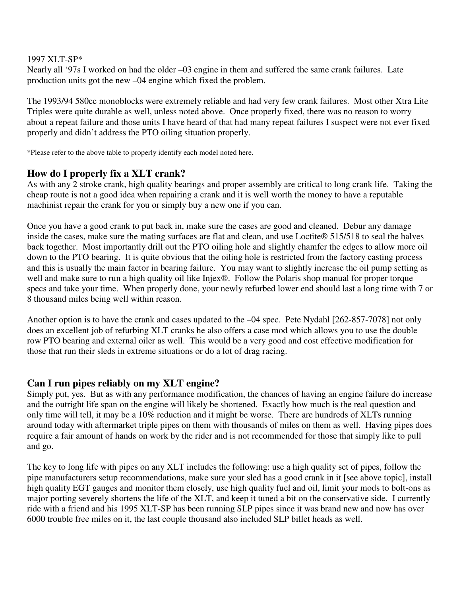#### 1997 XLT-SP\*

Nearly all '97s I worked on had the older –03 engine in them and suffered the same crank failures. Late production units got the new –04 engine which fixed the problem.

The 1993/94 580cc monoblocks were extremely reliable and had very few crank failures. Most other Xtra Lite Triples were quite durable as well, unless noted above. Once properly fixed, there was no reason to worry about a repeat failure and those units I have heard of that had many repeat failures I suspect were not ever fixed properly and didn't address the PTO oiling situation properly.

\*Please refer to the above table to properly identify each model noted here.

## **How do I properly fix a XLT crank?**

As with any 2 stroke crank, high quality bearings and proper assembly are critical to long crank life. Taking the cheap route is not a good idea when repairing a crank and it is well worth the money to have a reputable machinist repair the crank for you or simply buy a new one if you can.

Once you have a good crank to put back in, make sure the cases are good and cleaned. Debur any damage inside the cases, make sure the mating surfaces are flat and clean, and use Loctite® 515/518 to seal the halves back together. Most importantly drill out the PTO oiling hole and slightly chamfer the edges to allow more oil down to the PTO bearing. It is quite obvious that the oiling hole is restricted from the factory casting process and this is usually the main factor in bearing failure. You may want to slightly increase the oil pump setting as well and make sure to run a high quality oil like Injex®. Follow the Polaris shop manual for proper torque specs and take your time. When properly done, your newly refurbed lower end should last a long time with 7 or 8 thousand miles being well within reason.

Another option is to have the crank and cases updated to the –04 spec. Pete Nydahl [262-857-7078] not only does an excellent job of refurbing XLT cranks he also offers a case mod which allows you to use the double row PTO bearing and external oiler as well. This would be a very good and cost effective modification for those that run their sleds in extreme situations or do a lot of drag racing.

## **Can I run pipes reliably on my XLT engine?**

Simply put, yes. But as with any performance modification, the chances of having an engine failure do increase and the outright life span on the engine will likely be shortened. Exactly how much is the real question and only time will tell, it may be a 10% reduction and it might be worse. There are hundreds of XLTs running around today with aftermarket triple pipes on them with thousands of miles on them as well. Having pipes does require a fair amount of hands on work by the rider and is not recommended for those that simply like to pull and go.

The key to long life with pipes on any XLT includes the following: use a high quality set of pipes, follow the pipe manufacturers setup recommendations, make sure your sled has a good crank in it [see above topic], install high quality EGT gauges and monitor them closely, use high quality fuel and oil, limit your mods to bolt-ons as major porting severely shortens the life of the XLT, and keep it tuned a bit on the conservative side. I currently ride with a friend and his 1995 XLT-SP has been running SLP pipes since it was brand new and now has over 6000 trouble free miles on it, the last couple thousand also included SLP billet heads as well.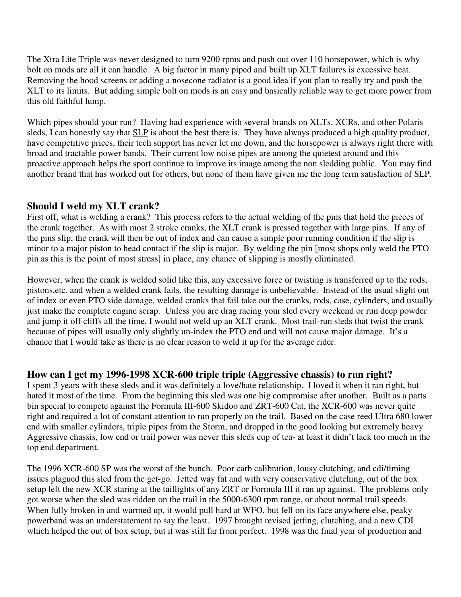The Xtra Lite Triple was never designed to turn 9200 rpms and push out over 110 horsepower, which is why bolt on mods are all it can handle. A big factor in many piped and built up XLT failures is excessive heat. Removing the hood screens or adding a nosecone radiator is a good idea if you plan to really try and push the XLT to its limits. But adding simple bolt on mods is an easy and basically reliable way to get more power from this old faithful lump.

Which pipes should your run? Having had experience with several brands on XLTs, XCRs, and other Polaris sleds, I can honestly say that SLP is about the best there is. They have always produced a high quality product, have competitive prices, their tech support has never let me down, and the horsepower is always right there with broad and tractable power bands. Their current low noise pipes are among the quietest around and this proactive approach helps the sport continue to improve its image among the non sledding public. You may find another brand that has worked out for others, but none of them have given me the long term satisfaction of SLP.

## **Should I weld my XLT crank?**

First off, what is welding a crank? This process refers to the actual welding of the pins that hold the pieces of the crank together. As with most 2 stroke cranks, the XLT crank is pressed together with large pins. If any of the pins slip, the crank will then be out of index and can cause a simple poor running condition if the slip is minor to a major piston to head contact if the slip is major. By welding the pin [most shops only weld the PTO pin as this is the point of most stress] in place, any chance of slipping is mostly eliminated.

However, when the crank is welded solid like this, any excessive force or twisting is transferred up to the rods, pistons,etc. and when a welded crank fails, the resulting damage is unbelievable. Instead of the usual slight out of index or even PTO side damage, welded cranks that fail take out the cranks, rods, case, cylinders, and usually just make the complete engine scrap. Unless you are drag racing your sled every weekend or run deep powder and jump it off cliffs all the time, I would not weld up an XLT crank. Most trail-run sleds that twist the crank because of pipes will usually only slightly un-index the PTO end and will not cause major damage. It's a chance that I would take as there is no clear reason to weld it up for the average rider.

## **How can I get my 1996-1998 XCR-600 triple triple (Aggressive chassis) to run right?**

I spent 3 years with these sleds and it was definitely a love/hate relationship. I loved it when it ran right, but hated it most of the time. From the beginning this sled was one big compromise after another. Built as a parts bin special to compete against the Formula III-600 Skidoo and ZRT-600 Cat, the XCR-600 was never quite right and required a lot of constant attention to run properly on the trail. Based on the case reed Ultra 680 lower end with smaller cylinders, triple pipes from the Storm, and dropped in the good looking but extremely heavy Aggressive chassis, low end or trail power was never this sleds cup of tea- at least it didn't lack too much in the top end department.

The 1996 XCR-600 SP was the worst of the bunch. Poor carb calibration, lousy clutching, and cdi/timing issues plagued this sled from the get-go. Jetted way fat and with very conservative clutching, out of the box setup left the new XCR staring at the taillights of any ZRT or Formula III it ran up against. The problems only got worse when the sled was ridden on the trail in the 5000-6300 rpm range, or about normal trail speeds. When fully broken in and warmed up, it would pull hard at WFO, but fell on its face anywhere else, peaky powerband was an understatement to say the least. 1997 brought revised jetting, clutching, and a new CDI which helped the out of box setup, but it was still far from perfect. 1998 was the final year of production and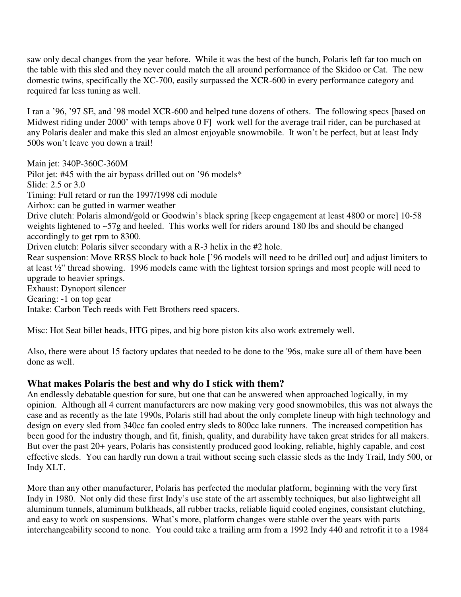saw only decal changes from the year before. While it was the best of the bunch, Polaris left far too much on the table with this sled and they never could match the all around performance of the Skidoo or Cat. The new domestic twins, specifically the XC-700, easily surpassed the XCR-600 in every performance category and required far less tuning as well.

I ran a '96, '97 SE, and '98 model XCR-600 and helped tune dozens of others. The following specs [based on Midwest riding under 2000' with temps above 0 F] work well for the average trail rider, can be purchased at any Polaris dealer and make this sled an almost enjoyable snowmobile. It won't be perfect, but at least Indy 500s won't leave you down a trail!

Main jet: 340P-360C-360M Pilot jet: #45 with the air bypass drilled out on '96 models\* Slide: 2.5 or 3.0 Timing: Full retard or run the 1997/1998 cdi module Airbox: can be gutted in warmer weather Drive clutch: Polaris almond/gold or Goodwin's black spring [keep engagement at least 4800 or more] 10-58 weights lightened to ~57g and heeled. This works well for riders around 180 lbs and should be changed accordingly to get rpm to 8300. Driven clutch: Polaris silver secondary with a R-3 helix in the #2 hole. Rear suspension: Move RRSS block to back hole ['96 models will need to be drilled out] and adjust limiters to at least ½" thread showing. 1996 models came with the lightest torsion springs and most people will need to upgrade to heavier springs. Exhaust: Dynoport silencer Gearing: -1 on top gear

Intake: Carbon Tech reeds with Fett Brothers reed spacers.

Misc: Hot Seat billet heads, HTG pipes, and big bore piston kits also work extremely well.

Also, there were about 15 factory updates that needed to be done to the '96s, make sure all of them have been done as well.

## **What makes Polaris the best and why do I stick with them?**

An endlessly debatable question for sure, but one that can be answered when approached logically, in my opinion. Although all 4 current manufacturers are now making very good snowmobiles, this was not always the case and as recently as the late 1990s, Polaris still had about the only complete lineup with high technology and design on every sled from 340cc fan cooled entry sleds to 800cc lake runners. The increased competition has been good for the industry though, and fit, finish, quality, and durability have taken great strides for all makers. But over the past 20+ years, Polaris has consistently produced good looking, reliable, highly capable, and cost effective sleds. You can hardly run down a trail without seeing such classic sleds as the Indy Trail, Indy 500, or Indy XLT.

More than any other manufacturer, Polaris has perfected the modular platform, beginning with the very first Indy in 1980. Not only did these first Indy's use state of the art assembly techniques, but also lightweight all aluminum tunnels, aluminum bulkheads, all rubber tracks, reliable liquid cooled engines, consistant clutching, and easy to work on suspensions. What's more, platform changes were stable over the years with parts interchangeability second to none. You could take a trailing arm from a 1992 Indy 440 and retrofit it to a 1984